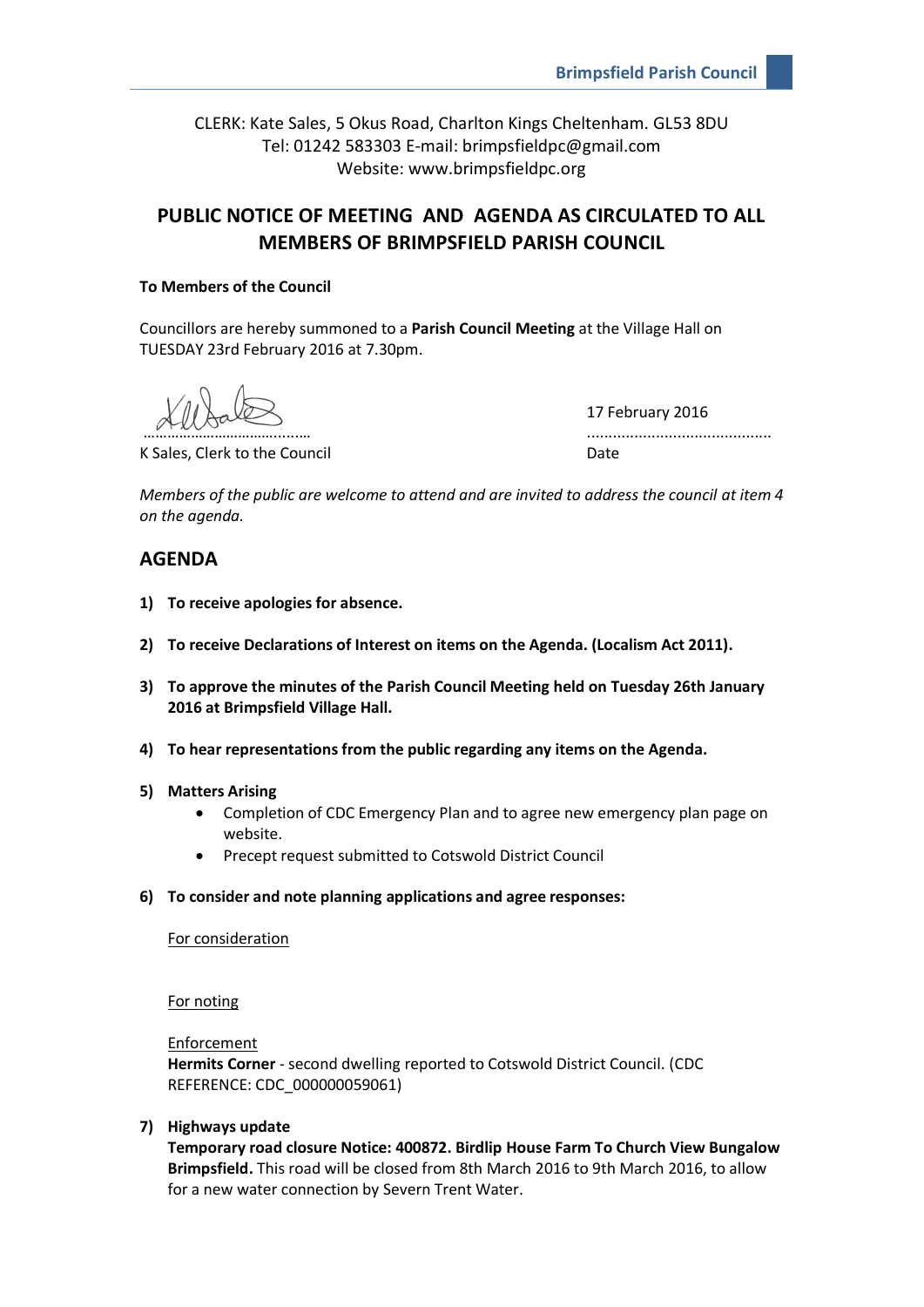CLERK: Kate Sales, 5 Okus Road, Charlton Kings Cheltenham. GL53 8DU Tel: 01242 583303 E-mail: brimpsfieldpc@gmail.com Website: www.brimpsfieldpc.org

# **PUBLIC NOTICE OF MEETING AND AGENDA AS CIRCULATED TO ALL MEMBERS OF BRIMPSFIELD PARISH COUNCIL**

## **To Members of the Council**

Councillors are hereby summoned to a **Parish Council Meeting** at the Village Hall on TUESDAY 23rd February 2016 at 7.30pm.

K Sales, Clerk to the Council Date Council Date

17 February 2016 ……………………………......… ...........................................

*Members of the public are welcome to attend and are invited to address the council at item 4 on the agenda.*

# **AGENDA**

- **1) To receive apologies for absence.**
- **2) To receive Declarations of Interest on items on the Agenda. (Localism Act 2011).**
- **3) To approve the minutes of the Parish Council Meeting held on Tuesday 26th January 2016 at Brimpsfield Village Hall.**
- **4) To hear representations from the public regarding any items on the Agenda.**
- **5) Matters Arising**
	- Completion of CDC Emergency Plan and to agree new emergency plan page on website.
	- Precept request submitted to Cotswold District Council
- **6) To consider and note planning applications and agree responses:**

## For consideration

For noting

Enforcement

**Hermits Corner** - second dwelling reported to Cotswold District Council. (CDC REFERENCE: CDC\_000000059061)

**7) Highways update**

**Temporary road closure Notice: 400872. Birdlip House Farm To Church View Bungalow Brimpsfield.** This road will be closed from 8th March 2016 to 9th March 2016, to allow for a new water connection by Severn Trent Water.